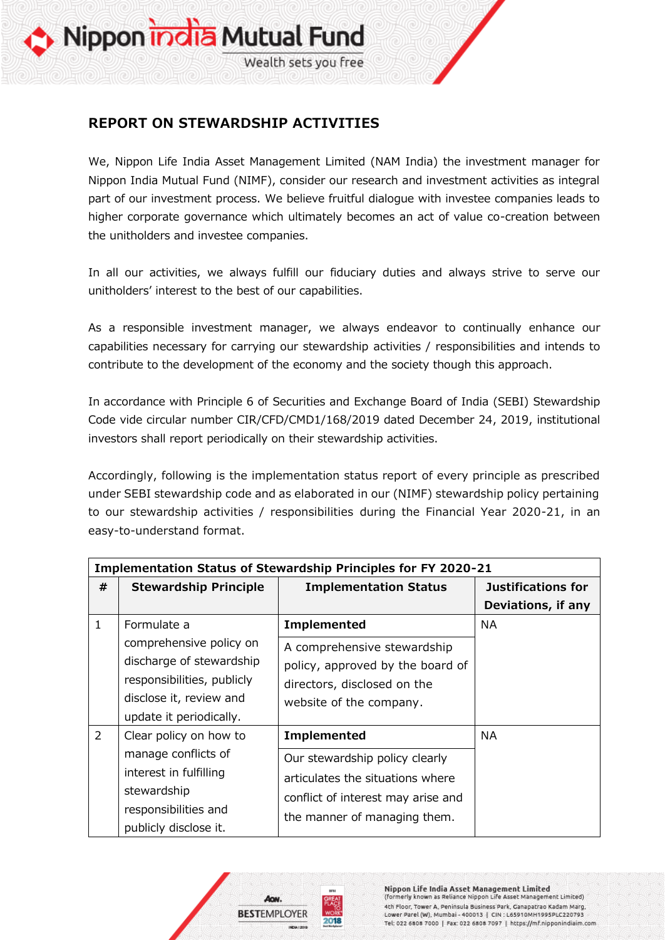

## **REPORT ON STEWARDSHIP ACTIVITIES**

We, Nippon Life India Asset Management Limited (NAM India) the investment manager for Nippon India Mutual Fund (NIMF), consider our research and investment activities as integral part of our investment process. We believe fruitful dialogue with investee companies leads to higher corporate governance which ultimately becomes an act of value co-creation between the unitholders and investee companies.

In all our activities, we always fulfill our fiduciary duties and always strive to serve our unitholders' interest to the best of our capabilities.

As a responsible investment manager, we always endeavor to continually enhance our capabilities necessary for carrying our stewardship activities / responsibilities and intends to contribute to the development of the economy and the society though this approach.

In accordance with Principle 6 of Securities and Exchange Board of India (SEBI) Stewardship Code vide circular number CIR/CFD/CMD1/168/2019 dated December 24, 2019, institutional investors shall report periodically on their stewardship activities.

Accordingly, following is the implementation status report of every principle as prescribed under SEBI stewardship code and as elaborated in our (NIMF) stewardship policy pertaining to our stewardship activities / responsibilities during the Financial Year 2020-21, in an easy-to-understand format.

| Implementation Status of Stewardship Principles for FY 2020-21 |                              |                                                                    |                    |
|----------------------------------------------------------------|------------------------------|--------------------------------------------------------------------|--------------------|
| #                                                              | <b>Stewardship Principle</b> | <b>Implementation Status</b>                                       | Justifications for |
|                                                                |                              |                                                                    | Deviations, if any |
| $\mathbf{1}$                                                   | Formulate a                  | <b>Implemented</b>                                                 | <b>NA</b>          |
|                                                                | comprehensive policy on      | A comprehensive stewardship                                        |                    |
|                                                                | discharge of stewardship     | policy, approved by the board of                                   |                    |
|                                                                | responsibilities, publicly   | directors, disclosed on the                                        |                    |
|                                                                | disclose it, review and      | website of the company.                                            |                    |
|                                                                | update it periodically.      |                                                                    |                    |
| $\overline{2}$                                                 | Clear policy on how to       | <b>Implemented</b>                                                 | <b>NA</b>          |
|                                                                | manage conflicts of          | Our stewardship policy clearly                                     |                    |
|                                                                | interest in fulfilling       | articulates the situations where                                   |                    |
|                                                                | stewardship                  | conflict of interest may arise and<br>the manner of managing them. |                    |
|                                                                | responsibilities and         |                                                                    |                    |
|                                                                | publicly disclose it.        |                                                                    |                    |



Nippon Life India Asset Management Limited (formerly known as Reliance Nippon Life Asset Management Limited) 4th Floor, Tower A, Peninsula Business Park, Ganapatrao Kadam Marg, Lower Parel (W), Mumbai - 400013 | CIN : L65910MH1995PLC220793 Tel: 022 6808 7000 | Fax: 022 6808 7097 | https://mf.nipponindiaim.com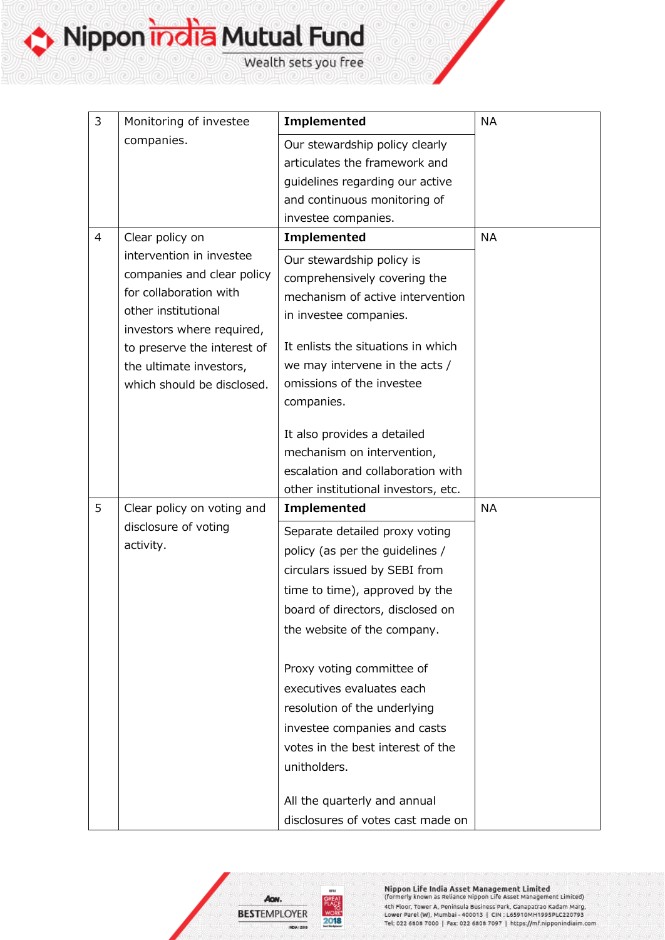3 Monitoring of investee companies. **Implemented** NA Our stewardship policy clearly articulates the framework and guidelines regarding our active and continuous monitoring of investee companies. 4 | Clear policy on intervention in investee companies and clear policy for collaboration with other institutional investors where required, to preserve the interest of the ultimate investors, which should be disclosed. **Implemented** NA Our stewardship policy is comprehensively covering the mechanism of active intervention in investee companies. It enlists the situations in which we may intervene in the acts / omissions of the investee companies. It also provides a detailed mechanism on intervention, escalation and collaboration with other institutional investors, etc. 5 Clear policy on voting and disclosure of voting activity. **Implemented** NA Separate detailed proxy voting policy (as per the guidelines / circulars issued by SEBI from time to time), approved by the board of directors, disclosed on the website of the company. Proxy voting committee of executives evaluates each resolution of the underlying investee companies and casts votes in the best interest of the unitholders. All the quarterly and annual disclosures of votes cast made on

Nippon india Mutual Fund

Wealth sets you free